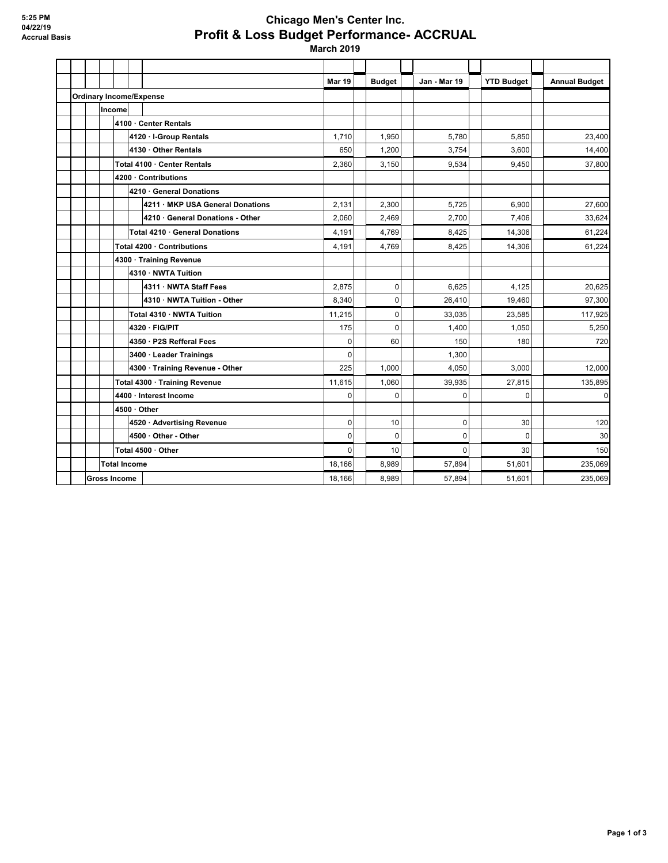## **Chicago Men's Center Inc. Profit & Loss Budget Performance- ACCRUAL**

 **March 2019**

|                     |                                |                    |        |                                 |                                  | <b>Mar 19</b>  | <b>Budget</b> | Jan - Mar 19 | <b>YTD Budget</b> | <b>Annual Budget</b> |
|---------------------|--------------------------------|--------------------|--------|---------------------------------|----------------------------------|----------------|---------------|--------------|-------------------|----------------------|
|                     | <b>Ordinary Income/Expense</b> |                    |        |                                 |                                  |                |               |              |                   |                      |
|                     |                                |                    | Income |                                 |                                  |                |               |              |                   |                      |
|                     |                                |                    |        |                                 | 4100 Center Rentals              |                |               |              |                   |                      |
|                     |                                |                    |        | 4120 - I-Group Rentals          |                                  |                | 1,950         | 5.780        | 5.850             | 23,400               |
|                     |                                |                    |        | 4130 Other Rentals              |                                  |                | 1,200         | 3.754        | 3.600             | 14,400               |
|                     |                                |                    |        | Total 4100 Center Rentals       |                                  |                | 3,150         | 9,534        | 9,450             | 37,800               |
|                     |                                |                    |        | 4200 Contributions              |                                  |                |               |              |                   |                      |
|                     |                                |                    |        |                                 | 4210 General Donations           |                |               |              |                   |                      |
|                     |                                |                    |        |                                 | 4211 · MKP USA General Donations | 2,131          | 2.300         | 5.725        | 6.900             | 27.600               |
|                     |                                |                    |        |                                 | 4210 · General Donations - Other | 2,060          | 2,469         | 2,700        | 7,406             | 33,624               |
|                     |                                |                    |        | Total 4210 · General Donations  |                                  | 4,191          | 4,769         | 8.425        | 14,306            | 61,224               |
|                     |                                |                    |        |                                 | Total 4200 Contributions         | 4,191          | 4,769         | 8,425        | 14,306            | 61,224               |
|                     |                                |                    |        |                                 | 4300 Training Revenue            |                |               |              |                   |                      |
|                     |                                |                    |        | 4310 · NWTA Tuition             |                                  |                |               |              |                   |                      |
|                     |                                |                    |        |                                 | 4311 NWTA Staff Fees             | 2.875          | $\mathbf 0$   | 6.625        | 4.125             | 20.625               |
|                     |                                |                    |        |                                 | 4310 · NWTA Tuition - Other      | 8,340          | 0             | 26,410       | 19,460            | 97,300               |
|                     |                                |                    |        |                                 | Total 4310 NWTA Tuition          | 11,215         | $\mathbf 0$   | 33.035       | 23,585            | 117,925              |
|                     |                                |                    |        | 4320 · FIG/PIT                  |                                  | 175            | $\Omega$      | 1.400        | 1.050             | 5,250                |
|                     |                                |                    |        | 4350 · P2S Refferal Fees        |                                  | 0              | 60            | 150          | 180               | 720                  |
|                     |                                |                    |        |                                 | 3400 Leader Trainings            | 0              |               | 1.300        |                   |                      |
|                     |                                |                    |        | 4300 · Training Revenue - Other |                                  | 225            | 1.000         | 4.050        | 3.000             | 12,000               |
|                     |                                |                    |        | Total 4300 · Training Revenue   |                                  |                | 1.060         | 39,935       | 27.815            | 135,895              |
|                     |                                |                    |        |                                 | 4400 · Interest Income           | 0              | 0             | 0            | 0                 | $\overline{0}$       |
|                     |                                |                    |        | 4500 Other                      |                                  |                |               |              |                   |                      |
|                     |                                |                    |        | 4520 Advertising Revenue        |                                  | 0              | 10            | 0            | 30                | 120                  |
|                     |                                |                    |        | 4500 Other - Other              |                                  | $\overline{0}$ | $\mathbf 0$   | 0            | $\mathbf 0$       | 30                   |
|                     |                                | Total 4500 · Other |        |                                 |                                  | $\overline{0}$ | 10            | $\Omega$     | 30                | 150                  |
|                     | <b>Total Income</b>            |                    |        |                                 | 18.166                           | 8.989          | 57.894        | 51.601       | 235.069           |                      |
| <b>Gross Income</b> |                                |                    |        |                                 |                                  | 18.166         | 8.989         | 57.894       | 51,601            | 235,069              |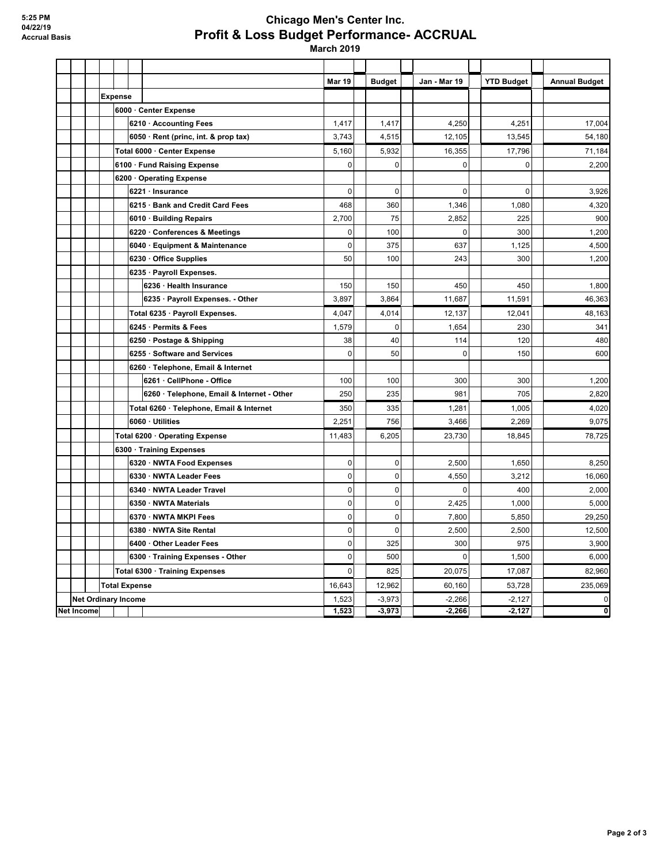## **Chicago Men's Center Inc. Profit & Loss Budget Performance- ACCRUAL**

 **March 2019**

|            |  |                            |                                |                                            | <b>Mar 19</b>  | <b>Budget</b> |             | Jan - Mar 19 | <b>YTD Budget</b> | <b>Annual Budget</b> |
|------------|--|----------------------------|--------------------------------|--------------------------------------------|----------------|---------------|-------------|--------------|-------------------|----------------------|
|            |  | <b>Expense</b>             |                                |                                            |                |               |             |              |                   |                      |
|            |  |                            |                                | 6000 Center Expense                        |                |               |             |              |                   |                      |
|            |  |                            |                                | 6210 Accounting Fees                       | 1,417          |               | 1,417       | 4,250        | 4,251             | 17,004               |
|            |  |                            |                                | 6050 · Rent (princ, int. & prop tax)       |                |               | 4,515       | 12,105       | 13,545            | 54,180               |
|            |  |                            |                                | Total 6000 Center Expense                  | 5,160          |               | 5,932       | 16,355       | 17,796            | 71,184               |
|            |  |                            |                                | 6100 Fund Raising Expense                  | 0              |               | $\mathbf 0$ | 0            | $\Omega$          | 2,200                |
|            |  |                            | 6200 Operating Expense         |                                            |                |               |             |              |                   |                      |
|            |  |                            |                                | 6221 · Insurance                           | $\overline{0}$ |               | $\mathbf 0$ | $\mathbf 0$  | $\mathbf 0$       | 3,926                |
|            |  |                            |                                | 6215 Bank and Credit Card Fees             | 468            |               | 360         | 1,346        | 1,080             | 4,320                |
|            |  |                            |                                | 6010 · Building Repairs                    | 2,700          |               | 75          | 2,852        | 225               | 900                  |
|            |  |                            |                                | 6220 Conferences & Meetings                | 0              |               | 100         | $\mathbf 0$  | 300               | 1,200                |
|            |  |                            |                                | 6040 · Equipment & Maintenance             | $\overline{0}$ |               | 375         | 637          | 1,125             | 4,500                |
|            |  |                            |                                | 6230 Office Supplies                       | 50             |               | 100         | 243          | 300               | 1,200                |
|            |  |                            |                                | 6235 · Payroll Expenses.                   |                |               |             |              |                   |                      |
|            |  |                            |                                | 6236 · Health Insurance                    | 150            |               | 150         | 450          | 450               | 1,800                |
|            |  |                            |                                | 6235 · Payroll Expenses. - Other           | 3,897          |               | 3,864       | 11,687       | 11,591            | 46,363               |
|            |  |                            |                                | Total 6235 · Payroll Expenses.             | 4,047          |               | 4,014       | 12,137       | 12,041            | 48,163               |
|            |  |                            |                                | 6245 Permits & Fees                        | 1,579          |               | $\mathbf 0$ | 1,654        | 230               | 341                  |
|            |  |                            |                                | 6250 · Postage & Shipping                  | 38             |               | 40          | 114          | 120               | 480                  |
|            |  |                            |                                | 6255 Software and Services                 | 0              |               | 50          | 0            | 150               | 600                  |
|            |  |                            |                                | 6260 · Telephone, Email & Internet         |                |               |             |              |                   |                      |
|            |  |                            |                                | 6261 CellPhone - Office                    | 100            |               | 100         | 300          | 300               | 1,200                |
|            |  |                            |                                | 6260 · Telephone, Email & Internet - Other | 250            |               | 235         | 981          | 705               | 2,820                |
|            |  |                            |                                | Total 6260 · Telephone, Email & Internet   | 350            |               | 335         | 1,281        | 1,005             | 4,020                |
|            |  |                            |                                | 6060 · Utilities                           | 2,251          |               | 756         | 3,466        | 2,269             | 9,075                |
|            |  |                            | Total 6200 · Operating Expense |                                            | 11,483         |               | 6,205       | 23,730       | 18,845            | 78,725               |
|            |  |                            |                                | 6300 · Training Expenses                   |                |               |             |              |                   |                      |
|            |  |                            |                                | 6320 · NWTA Food Expenses                  | $\pmb{0}$      |               | $\mathbf 0$ | 2.500        | 1,650             | 8,250                |
|            |  |                            |                                | 6330 NWTA Leader Fees                      | $\overline{0}$ |               | $\pmb{0}$   | 4,550        | 3,212             | 16,060               |
|            |  |                            |                                | 6340 NWTA Leader Travel                    | $\overline{0}$ |               | $\mathbf 0$ | $\mathbf 0$  | 400               | 2,000                |
|            |  |                            |                                | 6350 NWTA Materials                        | 0              |               | $\pmb{0}$   | 2,425        | 1,000             | 5,000                |
|            |  |                            |                                | 6370 · NWTA MKPI Fees                      | 0              |               | 0           | 7,800        | 5,850             | 29,250               |
|            |  |                            |                                | 6380 NWTA Site Rental                      | 0              |               | $\pmb{0}$   | 2,500        | 2,500             | 12,500               |
|            |  |                            |                                | 6400 Other Leader Fees                     | 0              |               | 325         | 300          | 975               | 3,900                |
|            |  |                            |                                | 6300 · Training Expenses - Other           |                |               | 500         | $\mathbf 0$  | 1,500             | 6,000                |
|            |  |                            |                                | Total 6300 · Training Expenses             | $\overline{0}$ |               | 825         | 20,075       | 17,087            | 82,960               |
|            |  | <b>Total Expense</b>       |                                |                                            | 16,643         | 12,962        |             | 60,160       | 53,728            | 235,069              |
|            |  | <b>Net Ordinary Income</b> |                                |                                            | 1,523          | $-3,973$      |             | $-2,266$     | $-2,127$          | $\pmb{0}$            |
| Net Income |  |                            |                                |                                            | 1,523          |               | $-3,973$    | $-2,266$     | $-2,127$          | ō                    |